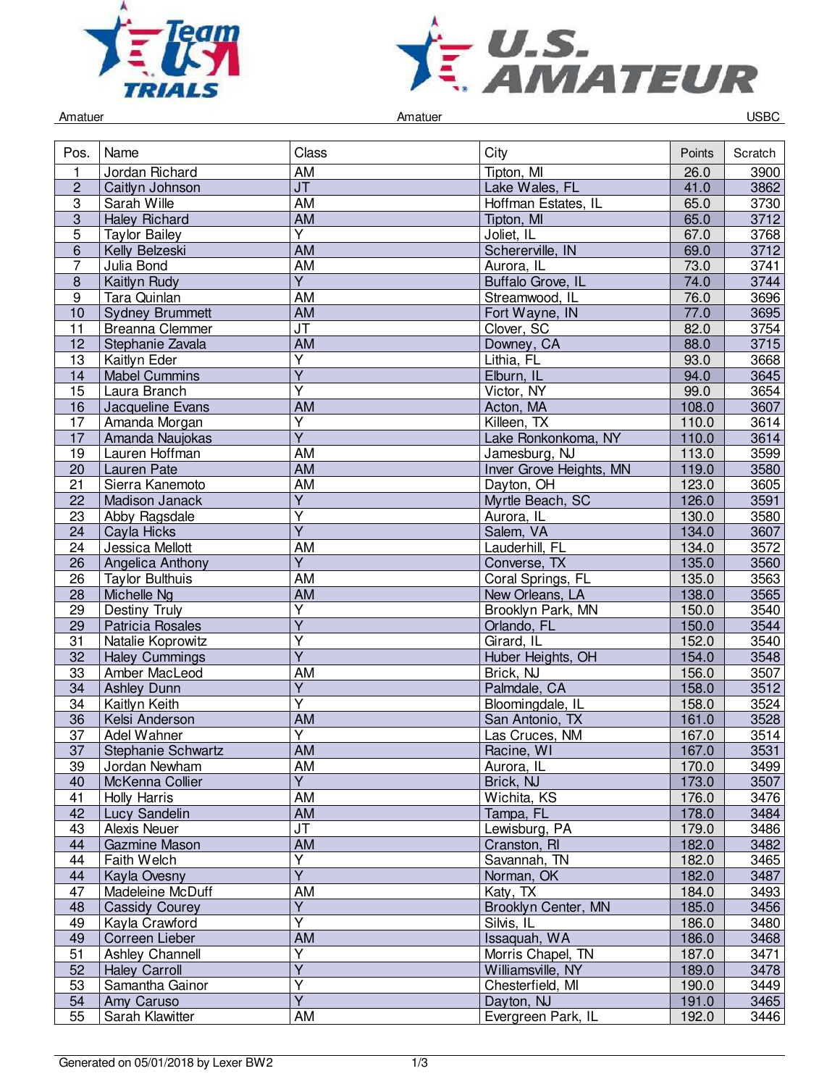



Amatuer Controller Controller Amatuer Amatuer Controller Controller Controller Controller Controller Controller

| Pos.            | Name                   | Class                             | City                    | Points | Scratch |
|-----------------|------------------------|-----------------------------------|-------------------------|--------|---------|
| 1               | Jordan Richard         | AM                                | Tipton, MI              | 26.0   | 3900    |
| $\overline{2}$  | Caitlyn Johnson        | $\overline{\mathsf{J}\mathsf{T}}$ | Lake Wales, FL          | 41.0   | 3862    |
| 3               | Sarah Wille            | <b>AM</b>                         | Hoffman Estates, IL     | 65.0   | 3730    |
| $\overline{3}$  | <b>Haley Richard</b>   | <b>AM</b>                         | Tipton, MI              | 65.0   | 3712    |
| 5               | <b>Taylor Bailey</b>   | Y                                 | Joliet, IL              | 67.0   | 3768    |
| 6               | Kelly Belzeski         | <b>AM</b>                         | Schererville, IN        | 69.0   | 3712    |
| 7               | Julia Bond             | AM                                | Aurora, IL              | 73.0   | 3741    |
| 8               | Kaitlyn Rudy           | Ÿ                                 | Buffalo Grove, IL       | 74.0   | 3744    |
| $\overline{9}$  | Tara Quinlan           | <b>AM</b>                         | Streamwood, IL          | 76.0   | 3696    |
| 10              | <b>Sydney Brummett</b> | AM                                | Fort Wayne, IN          | 77.0   | 3695    |
| 11              | <b>Breanna Clemmer</b> | $\overline{\mathsf{J}\mathsf{T}}$ | Clover, SC              | 82.0   | 3754    |
| $\overline{12}$ | Stephanie Zavala       | <b>AM</b>                         | Downey, CA              | 88.0   | 3715    |
|                 |                        | $\overline{Y}$                    |                         |        |         |
| 13              | Kaitlyn Eder           | $\overline{\mathsf{Y}}$           | Lithia, FL              | 93.0   | 3668    |
| 14              | <b>Mabel Cummins</b>   |                                   | Elburn, IL              | 94.0   | 3645    |
| 15              | Laura Branch           | Y                                 | Victor, NY              | 99.0   | 3654    |
| 16              | Jacqueline Evans       | <b>AM</b>                         | Acton, MA               | 108.0  | 3607    |
| 17              | Amanda Morgan          | Υ                                 | Killeen, TX             | 110.0  | 3614    |
| 17              | Amanda Naujokas        | $\overline{Y}$                    | Lake Ronkonkoma, NY     | 110.0  | 3614    |
| 19              | Lauren Hoffman         | <b>AM</b>                         | Jamesburg, NJ           | 113.0  | 3599    |
| $\overline{20}$ | <b>Lauren Pate</b>     | <b>AM</b>                         | Inver Grove Heights, MN | 119.0  | 3580    |
| 21              | Sierra Kanemoto        | AM                                | Davton, OH              | 123.0  | 3605    |
| 22              | Madison Janack         | $\overline{Y}$                    | Myrtle Beach, SC        | 126.0  | 3591    |
| 23              | Abby Ragsdale          | Ÿ                                 | Aurora, IL              | 130.0  | 3580    |
| 24              | Cayla Hicks            | $\overline{\mathsf{Y}}$           | Salem, VA               | 134.0  | 3607    |
| $\overline{24}$ | Jessica Mellott        | <b>AM</b>                         | Lauderhill, FL          | 134.0  | 3572    |
| 26              | Angelica Anthony       | $\overline{Y}$                    | Converse, TX            | 135.0  | 3560    |
| 26              | <b>Taylor Bulthuis</b> | AM                                | Coral Springs, FL       | 135.0  | 3563    |
| 28              | Michelle Ng            | AM                                | New Orleans, LA         | 138.0  | 3565    |
| 29              | Destiny Truly          | Υ                                 | Brooklyn Park, MN       | 150.0  | 3540    |
| $\overline{29}$ | Patricia Rosales       | $\overline{\mathsf{Y}}$           | Orlando, FL             | 150.0  | 3544    |
| 31              | Natalie Koprowitz      | $\overline{Y}$                    | Girard, IL              | 152.0  | 3540    |
| 32              | <b>Haley Cummings</b>  | $\overline{Y}$                    | Huber Heights, OH       | 154.0  | 3548    |
| 33              | Amber MacLeod          | AM                                | Brick, NJ               | 156.0  | 3507    |
|                 |                        | $\overline{Y}$                    |                         |        |         |
| 34              | <b>Ashley Dunn</b>     | $\overline{\mathsf{Y}}$           | Palmdale, CA            | 158.0  | $3512$  |
| 34              | Kaitlyn Keith          |                                   | Bloomingdale, IL        | 158.0  | 3524    |
| 36              | Kelsi Anderson         | <b>AM</b>                         | San Antonio, TX         | 161.0  | 3528    |
| 37              | Adel Wahner            | Y                                 | Las Cruces, NM          | 167.0  | 3514    |
| 37              | Stephanie Schwartz     | <b>AM</b>                         | Racine, WI              | 167.0  | 3531    |
| 39              | Jordan Newham          | AM                                | Aurora, IL              | 170.0  | 3499    |
| 40              | McKenna Collier        | Y.                                | Brick, NJ               | 173.0  | 3507    |
| 41              | <b>Holly Harris</b>    | AM                                | Wichita, KS             | 176.0  | 3476    |
| 42              | Lucy Sandelin          | <b>AM</b>                         | Tampa, FL               | 178.0  | 3484    |
| 43              | Alexis Neuer           | $\overline{\mathsf{J}\mathsf{T}}$ | Lewisburg, PA           | 179.0  | 3486    |
| 44              | Gazmine Mason          | <b>AM</b>                         | Cranston, RI            | 182.0  | 3482    |
| 44              | Faith Welch            | $\overline{Y}$                    | Savannah, TN            | 182.0  | 3465    |
| 44              | Kayla Ovesny           | $\overline{\mathsf{Y}}$           | Norman, OK              | 182.0  | 3487    |
| 47              | Madeleine McDuff       | AM                                | Katy, TX                | 184.0  | 3493    |
| 48              | <b>Cassidy Courey</b>  | Υ                                 | Brooklyn Center, MN     | 185.0  | 3456    |
| 49              | Kayla Crawford         | Ý                                 | Silvis, IL              | 186.0  | 3480    |
| 49              | Correen Lieber         | AM                                | Issaquah, WA            | 186.0  | 3468    |
| $\overline{51}$ | Ashley Channell        | Y                                 | Morris Chapel, TN       | 187.0  | 3471    |
| 52              | <b>Haley Carroll</b>   | $\overline{Y}$                    | Williamsville, NY       | 189.0  | 3478    |
| 53              | Samantha Gainor        | $\overline{\mathsf{Y}}$           | Chesterfield, MI        | 190.0  | 3449    |
| 54              | Amy Caruso             | $\overline{Y}$                    | Dayton, NJ              | 191.0  | 3465    |
|                 |                        |                                   |                         |        |         |
| 55              | Sarah Klawitter        | AM                                | Evergreen Park, IL      | 192.0  | 3446    |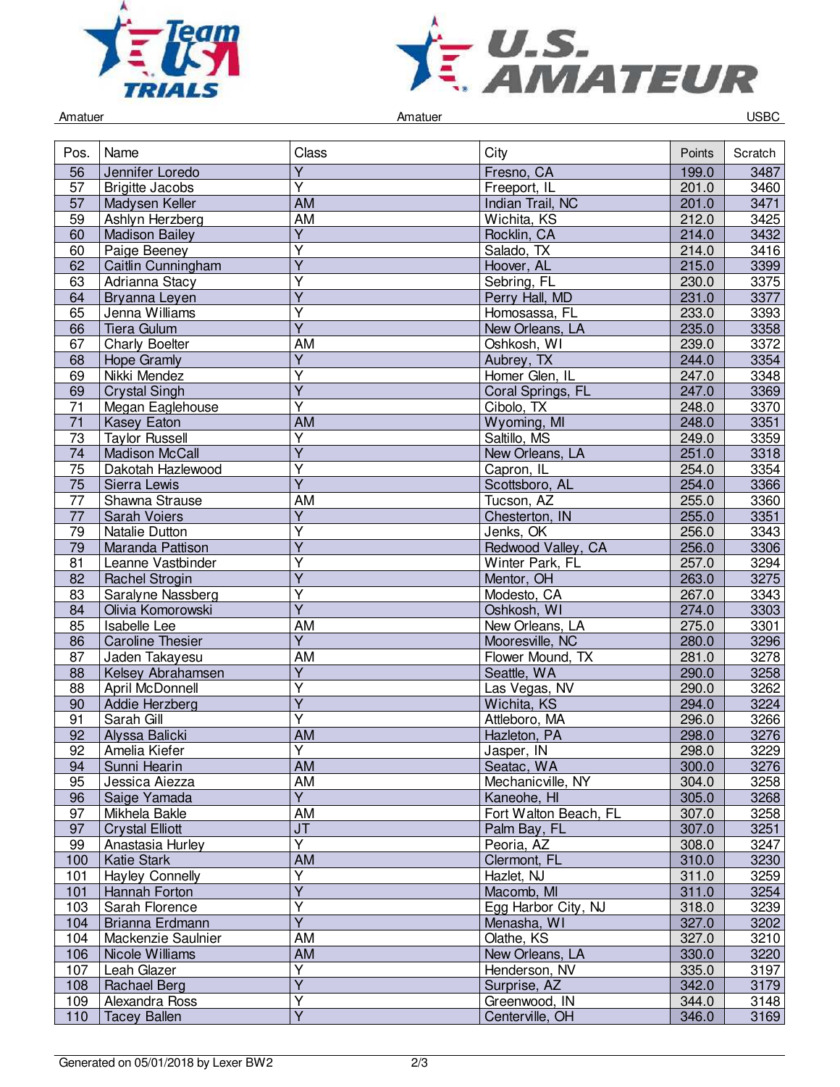



Amatuer Controller Controller Amatuer Amatuer Controller Controller Controller Controller Controller Controller

| Pos.            | Name                    | Class                             | City                  | Points | Scratch |
|-----------------|-------------------------|-----------------------------------|-----------------------|--------|---------|
| 56              | Jennifer Loredo         | $\overline{Y}$                    | Fresno, CA            | 199.0  | 3487    |
| 57              | <b>Brigitte Jacobs</b>  | Ÿ                                 | Freeport, IL          | 201.0  | 3460    |
| 57              | Madysen Keller          | <b>AM</b>                         | Indian Trail, NC      | 201.0  | 3471    |
| 59              | Ashlyn Herzberg         | <b>AM</b>                         | Wichita, KS           | 212.0  | 3425    |
| 60              | <b>Madison Bailey</b>   | $\overline{Y}$                    | Rocklin, CA           | 214.0  | 3432    |
| 60              | Paige Beeney            | Υ                                 | Salado, TX            | 214.0  | 3416    |
| 62              | Caitlin Cunningham      | Ÿ                                 | Hoover, AL            | 215.0  | 3399    |
| 63              | Adrianna Stacy          | Υ                                 | Sebring, FL           | 230.0  | 3375    |
| 64              | Bryanna Leyen           | $\overline{Y}$                    | Perry Hall, MD        | 231.0  | 3377    |
| 65              | Jenna Williams          | Y                                 | Homosassa, FL         | 233.0  | 3393    |
| 66              | Tiera Gulum             | $\overline{\mathsf{Y}}$           | New Orleans, LA       | 235.0  | 3358    |
| 67              | <b>Charly Boelter</b>   | AM                                | Oshkosh, WI           | 239.0  | 3372    |
| 68              | <b>Hope Gramly</b>      | $\overline{Y}$                    | Aubrey, TX            | 244.0  | 3354    |
| 69              | Nikki Mendez            | $\overline{\mathsf{Y}}$           | Homer Glen, IL        | 247.0  | 3348    |
| 69              | <b>Crystal Singh</b>    | $\overline{Y}$                    | Coral Springs, FL     | 247.0  | 3369    |
| 71              | Megan Eaglehouse        | $\overline{\mathsf{Y}}$           | Cibolo, TX            | 248.0  | 3370    |
| 71              | Kasey Eaton             | <b>AM</b>                         | Wyoming, MI           | 248.0  | 3351    |
|                 |                         | Υ                                 | Saltillo, MS          |        |         |
| 73              | <b>Taylor Russell</b>   | $\overline{Y}$                    |                       | 249.0  | 3359    |
| 74              | <b>Madison McCall</b>   |                                   | New Orleans, LA       | 251.0  | 3318    |
| 75              | Dakotah Hazlewood       | Υ                                 | Capron, IL            | 254.0  | 3354    |
| 75              | Sierra Lewis            | $\overline{Y}$                    | Scottsboro, AL        | 254.0  | 3366    |
| $\overline{77}$ | Shawna Strause          | AM                                | Tucson, AZ            | 255.0  | 3360    |
| $\overline{77}$ | Sarah Voiers            | $\overline{\mathsf{Y}}$           | Chesterton, IN        | 255.0  | 3351    |
| 79              | Natalie Dutton          | $\overline{\mathsf{Y}}$           | Jenks, OK             | 256.0  | 3343    |
| 79              | Maranda Pattison        | $\overline{\mathsf{Y}}$           | Redwood Valley, CA    | 256.0  | 3306    |
| 81              | Leanne Vastbinder       | Υ                                 | Winter Park, FL       | 257.0  | 3294    |
| 82              | <b>Rachel Strogin</b>   | Y                                 | Mentor, OH            | 263.0  | 3275    |
| 83              | Saralyne Nassberg       | Y                                 | Modesto, CA           | 267.0  | 3343    |
| 84              | Olivia Komorowski       | $\overline{Y}$                    | Oshkosh, WI           | 274.0  | 3303    |
| 85              | <b>Isabelle Lee</b>     | AM                                | New Orleans, LA       | 275.0  | 3301    |
| 86              | <b>Caroline Thesier</b> | $\overline{\mathsf{Y}}$           | Mooresville, NC       | 280.0  | 3296    |
| 87              | Jaden Takayesu          | AM                                | Flower Mound, TX      | 281.0  | 3278    |
| 88              | Kelsey Abrahamsen       | $\overline{\mathsf{Y}}$           | Seattle, WA           | 290.0  | 3258    |
| 88              | <b>April McDonnell</b>  | $\overline{\mathsf{Y}}$           | Las Vegas, NV         | 290.0  | 3262    |
| 90              | Addie Herzberg          | $\overline{\mathsf{Y}}$           | Wichita, KS           | 294.0  | 3224    |
| 91              | Sarah Gill              | $\overline{Y}$                    | Attleboro, MA         | 296.0  | 3266    |
| 92              | Alyssa Balicki          | AM                                | Hazleton, PA          | 298.0  | 3276    |
| 92              | Amelia Kiefer           | Y                                 | Jasper, IN            | 298.0  | 3229    |
| 94              | Sunni Hearin            | AM                                | Seatac, WA            | 300.0  | 3276    |
| 95              | Jessica Aiezza          | AM                                | Mechanicville, NY     | 304.0  | 3258    |
| 96              | Saige Yamada            | $\overline{Y}$                    | Kaneohe, HI           | 305.0  | 3268    |
| 97              | Mikhela Bakle           | AM                                | Fort Walton Beach, FL | 307.0  | 3258    |
| $\overline{97}$ | <b>Crystal Elliott</b>  | $\overline{\mathsf{J}\mathsf{T}}$ | Palm Bay, FL          | 307.0  | 3251    |
| 99              | Anastasia Hurley        | $\overline{\mathsf{Y}}$           | Peoria, AZ            | 308.0  | 3247    |
| 100             | <b>Katie Stark</b>      | AM                                | Clermont, FL          | 310.0  | 3230    |
| 101             | <b>Hayley Connelly</b>  | Y                                 | Hazlet, NJ            | 311.0  | 3259    |
|                 | Hannah Forton           | $\overline{Y}$                    | Macomb, MI            | 311.0  | 3254    |
| 101             |                         | $\overline{\mathsf{Y}}$           | Egg Harbor City, NJ   |        |         |
| 103             | Sarah Florence          | $\overline{\mathsf{Y}}$           |                       | 318.0  | 3239    |
| 104             | Brianna Erdmann         |                                   | Menasha, WI           | 327.0  | 3202    |
| 104             | Mackenzie Saulnier      | AM                                | Olathe, KS            | 327.0  | 3210    |
| 106             | Nicole Williams         | AM                                | New Orleans, LA       | 330.0  | 3220    |
| 107             | Leah Glazer             | $\overline{Y}$                    | Henderson, NV         | 335.0  | 3197    |
| 108             | Rachael Berg            | $\overline{Y}$                    | Surprise, AZ          | 342.0  | 3179    |
| 109             | Alexandra Ross          | Y                                 | Greenwood, IN         | 344.0  | 3148    |
| 110             | <b>Tacey Ballen</b>     | $\overline{Y}$                    | Centerville, OH       | 346.0  | 3169    |